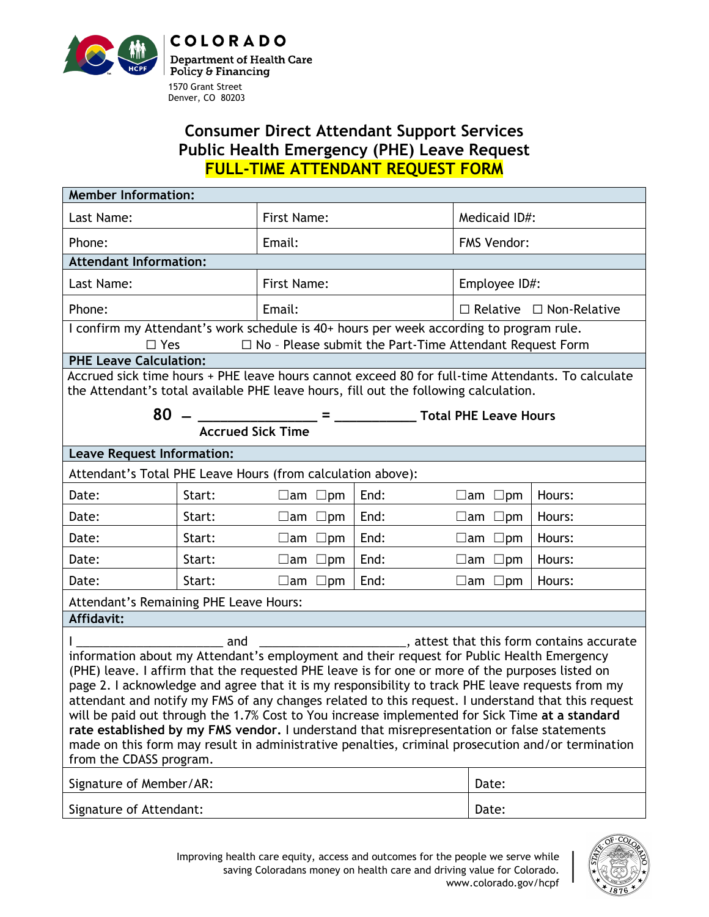

## **Consumer Direct Attendant Support Services Public Health Emergency (PHE) Leave Request FULL-TIME ATTENDANT REQUEST FORM**

| <b>Member Information:</b>                                                                                                                                                                                                                                                                                                                                                                                                                                                                                                                                                                                                                                                                                                                               |        |                     |      |                                     |        |  |
|----------------------------------------------------------------------------------------------------------------------------------------------------------------------------------------------------------------------------------------------------------------------------------------------------------------------------------------------------------------------------------------------------------------------------------------------------------------------------------------------------------------------------------------------------------------------------------------------------------------------------------------------------------------------------------------------------------------------------------------------------------|--------|---------------------|------|-------------------------------------|--------|--|
| Last Name:                                                                                                                                                                                                                                                                                                                                                                                                                                                                                                                                                                                                                                                                                                                                               |        | First Name:         |      | Medicaid ID#:                       |        |  |
| Phone:                                                                                                                                                                                                                                                                                                                                                                                                                                                                                                                                                                                                                                                                                                                                                   |        | Email:              |      | <b>FMS Vendor:</b>                  |        |  |
| <b>Attendant Information:</b>                                                                                                                                                                                                                                                                                                                                                                                                                                                                                                                                                                                                                                                                                                                            |        |                     |      |                                     |        |  |
| Last Name:                                                                                                                                                                                                                                                                                                                                                                                                                                                                                                                                                                                                                                                                                                                                               |        | First Name:         |      | Employee ID#:                       |        |  |
| Phone:                                                                                                                                                                                                                                                                                                                                                                                                                                                                                                                                                                                                                                                                                                                                                   |        | Email:              |      | $\Box$ Relative $\Box$ Non-Relative |        |  |
| I confirm my Attendant's work schedule is 40+ hours per week according to program rule.<br>$\Box$ Yes<br>$\Box$ No - Please submit the Part-Time Attendant Request Form                                                                                                                                                                                                                                                                                                                                                                                                                                                                                                                                                                                  |        |                     |      |                                     |        |  |
| <b>PHE Leave Calculation:</b>                                                                                                                                                                                                                                                                                                                                                                                                                                                                                                                                                                                                                                                                                                                            |        |                     |      |                                     |        |  |
| Accrued sick time hours + PHE leave hours cannot exceed 80 for full-time Attendants. To calculate<br>the Attendant's total available PHE leave hours, fill out the following calculation.                                                                                                                                                                                                                                                                                                                                                                                                                                                                                                                                                                |        |                     |      |                                     |        |  |
| <b>Accrued Sick Time</b>                                                                                                                                                                                                                                                                                                                                                                                                                                                                                                                                                                                                                                                                                                                                 |        |                     |      |                                     |        |  |
| <b>Leave Request Information:</b>                                                                                                                                                                                                                                                                                                                                                                                                                                                                                                                                                                                                                                                                                                                        |        |                     |      |                                     |        |  |
| Attendant's Total PHE Leave Hours (from calculation above):                                                                                                                                                                                                                                                                                                                                                                                                                                                                                                                                                                                                                                                                                              |        |                     |      |                                     |        |  |
| Date:                                                                                                                                                                                                                                                                                                                                                                                                                                                                                                                                                                                                                                                                                                                                                    | Start: | $\Box$ am $\Box$ pm | End: | $\Box$ am $\Box$ pm                 | Hours: |  |
| Date:                                                                                                                                                                                                                                                                                                                                                                                                                                                                                                                                                                                                                                                                                                                                                    | Start: | $\Box$ am $\Box$ pm | End: | $\Box$ am $\Box$ pm                 | Hours: |  |
| Date:                                                                                                                                                                                                                                                                                                                                                                                                                                                                                                                                                                                                                                                                                                                                                    | Start: | $\Box$ am $\Box$ pm | End: | $\Box$ am $\Box$ pm                 | Hours: |  |
| Date:                                                                                                                                                                                                                                                                                                                                                                                                                                                                                                                                                                                                                                                                                                                                                    | Start: | $\Box$ am $\Box$ pm | End: | $\Box$ am $\Box$ pm                 | Hours: |  |
| Date:                                                                                                                                                                                                                                                                                                                                                                                                                                                                                                                                                                                                                                                                                                                                                    | Start: | $\Box$ am $\Box$ pm | End: | $\Box$ am $\Box$ pm                 | Hours: |  |
| Attendant's Remaining PHE Leave Hours:                                                                                                                                                                                                                                                                                                                                                                                                                                                                                                                                                                                                                                                                                                                   |        |                     |      |                                     |        |  |
| Affidavit:                                                                                                                                                                                                                                                                                                                                                                                                                                                                                                                                                                                                                                                                                                                                               |        |                     |      |                                     |        |  |
| <b>and</b> and<br>information about my Attendant's employment and their request for Public Health Emergency<br>(PHE) leave. I affirm that the requested PHE leave is for one or more of the purposes listed on<br>page 2. I acknowledge and agree that it is my responsibility to track PHE leave requests from my<br>attendant and notify my FMS of any changes related to this request. I understand that this request<br>will be paid out through the 1.7% Cost to You increase implemented for Sick Time at a standard<br>rate established by my FMS vendor. I understand that misrepresentation or false statements<br>made on this form may result in administrative penalties, criminal prosecution and/or termination<br>from the CDASS program. |        |                     |      |                                     |        |  |
| Signature of Member/AR:                                                                                                                                                                                                                                                                                                                                                                                                                                                                                                                                                                                                                                                                                                                                  |        |                     |      | Date:                               |        |  |
| Signature of Attendant:                                                                                                                                                                                                                                                                                                                                                                                                                                                                                                                                                                                                                                                                                                                                  |        |                     |      | Date:                               |        |  |